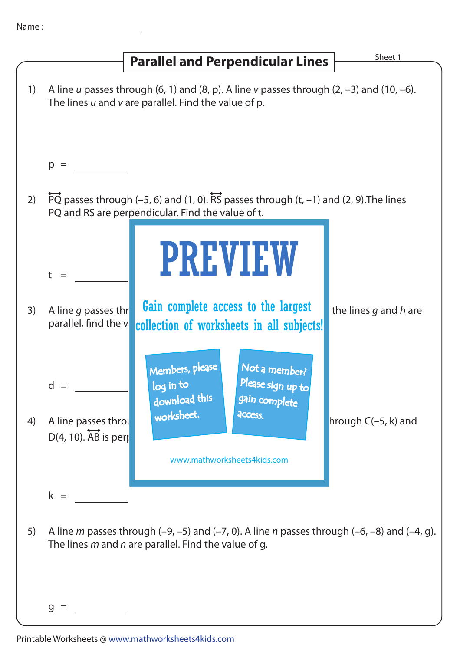